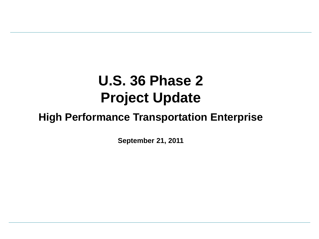# **U.S. 36 Phase 2 Project Update**

## **High Performance Transportation Enterprise**

**September 21, 2011**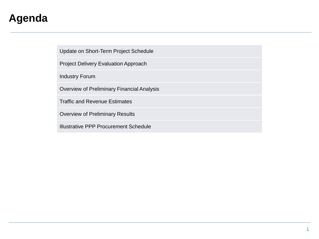### **Agenda**

Update on Short-Term Project Schedule

Project Delivery Evaluation Approach

Industry Forum

Overview of Preliminary Financial Analysis

Traffic and Revenue Estimates

Overview of Preliminary Results

Illustrative PPP Procurement Schedule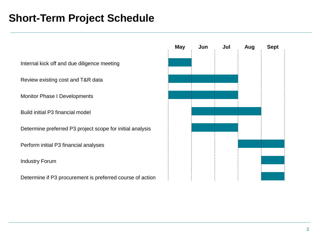### **Short-Term Project Schedule**

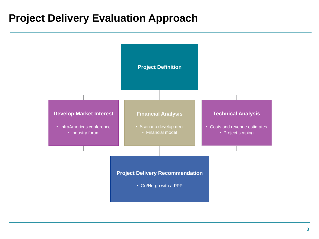### **Project Delivery Evaluation Approach**

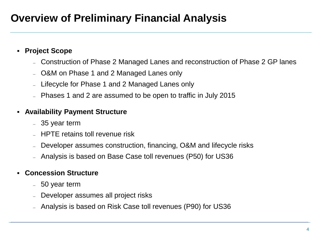## **Overview of Preliminary Financial Analysis**

#### **Project Scope**

- Construction of Phase 2 Managed Lanes and reconstruction of Phase 2 GP lanes
- O&M on Phase 1 and 2 Managed Lanes only
- Lifecycle for Phase 1 and 2 Managed Lanes only
- Phases 1 and 2 are assumed to be open to traffic in July 2015

#### **Availability Payment Structure**

- 35 year term
- HPTE retains toll revenue risk
- Developer assumes construction, financing, O&M and lifecycle risks
- Analysis is based on Base Case toll revenues (P50) for US36

#### **Concession Structure**

- 50 year term
- Developer assumes all project risks
- Analysis is based on Risk Case toll revenues (P90) for US36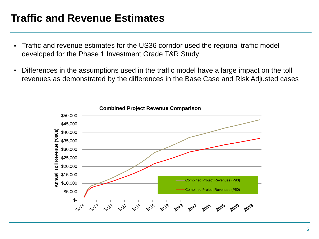### **Traffic and Revenue Estimates**

- Traffic and revenue estimates for the US36 corridor used the regional traffic model developed for the Phase 1 Investment Grade T&R Study
- Differences in the assumptions used in the traffic model have a large impact on the toll revenues as demonstrated by the differences in the Base Case and Risk Adjusted cases



**Combined Project Revenue Comparison**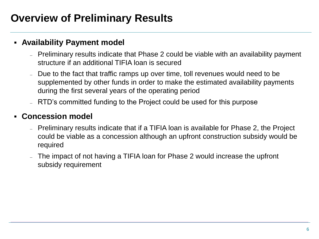## **Overview of Preliminary Results**

#### **Availability Payment model**

- Preliminary results indicate that Phase 2 could be viable with an availability payment structure if an additional TIFIA loan is secured
- Due to the fact that traffic ramps up over time, toll revenues would need to be supplemented by other funds in order to make the estimated availability payments during the first several years of the operating period
- RTD's committed funding to the Project could be used for this purpose

#### **Concession model**

- Preliminary results indicate that if a TIFIA loan is available for Phase 2, the Project could be viable as a concession although an upfront construction subsidy would be required
- The impact of not having a TIFIA loan for Phase 2 would increase the upfront subsidy requirement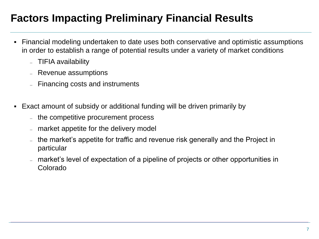## **Factors Impacting Preliminary Financial Results**

- Financial modeling undertaken to date uses both conservative and optimistic assumptions in order to establish a range of potential results under a variety of market conditions
	- TIFIA availability
	- Revenue assumptions
	- Financing costs and instruments
- Exact amount of subsidy or additional funding will be driven primarily by
	- the competitive procurement process
	- market appetite for the delivery model
	- the market's appetite for traffic and revenue risk generally and the Project in particular
	- market's level of expectation of a pipeline of projects or other opportunities in Colorado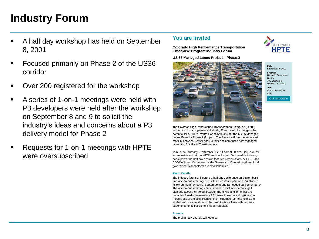## **Industry Forum**

- A half day workshop has held on September 8, 2001
- Focused primarily on Phase 2 of the US36 corridor
- Over 200 registered for the workshop
- A series of 1-on-1 meetings were held with P3 developers were held after the workshop on September 8 and 9 to solicit the industry's ideas and concerns about a P3 delivery model for Phase 2
- Requests for 1-on-1 meetings with HPTE were oversubscribed

#### **You are invited**

**Colorado High Performance Transportation Enterprise Program Industry Forum**

**US 36 Managed Lanes Project – Phase 2**



**Date** September 8, 2011

**Location** Colorado Convention **Center** 700 14th Street Denver, CO 80202

**Time** 9:00 a.m.–1:00 p.m. MDT

Click here to registe

The Colorado High Performance Transportation Enterprise (HPTE) invites you to participate in an Industry Forum event focusing on the potential for a Public Private Partnership (P3) for the US 36 Managed Lanes Project – Phase 2 (Project). The Project will provide enhanced mobility between Denver and Boulder and comprises both managed lanes and Bus Rapid Transit service.

Join us on Thursday, September 8, 2011 from 9:00 a.m.–1:00 p.m. MDT for an inside look at the HPTE and the Project. Designed for industry participants, the half-day session features presentations by HPTE and CDOT officials. Comments by the Governor of Colorado and key local government stakeholders are also scheduled.

#### **Event Details**

The industry forum will feature a half-day conference on September 8 and one-on-one meetings with interested developers and investors to follow on the afternoon of September 8 and as needed on September 9. The one-on-one meetings are intended to facilitate a meaningful dialogue about the Project between the HPTE and firms that are capable of leading a team in a P3 transaction or investing equity in these types of projects. Please note the number of meeting slots is limited and consideration will be given to those firms with requisite experience on a first-come, first-served basis.

#### **Agenda**

The preliminary agenda will feature: